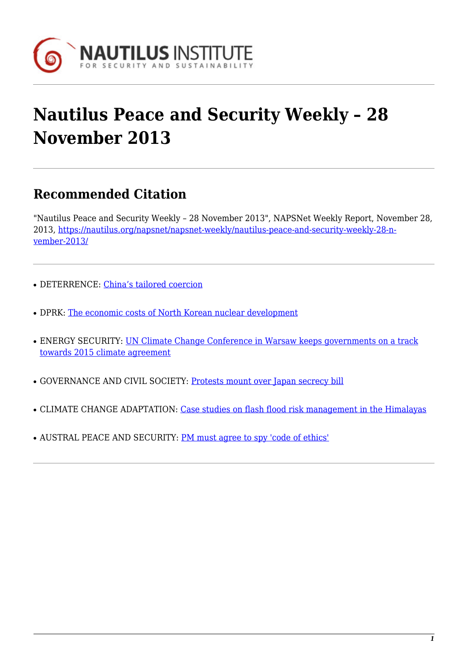

# **Nautilus Peace and Security Weekly – 28 November 2013**

## **Recommended Citation**

"Nautilus Peace and Security Weekly – 28 November 2013", NAPSNet Weekly Report, November 28, 2013, [https://nautilus.org/napsnet/napsnet-weekly/nautilus-peace-and-security-weekly-28-n](https://nautilus.org/napsnet/napsnet-weekly/nautilus-peace-and-security-weekly-28-november-2013/)[vember-2013/](https://nautilus.org/napsnet/napsnet-weekly/nautilus-peace-and-security-weekly-28-november-2013/)

- DETERRENCE: [China's tailored coercion](#page-0-0)
- DPRK: [The economic costs of North Korean nuclear development](#page-1-0)
- ENERGY SECURITY: [UN Climate Change Conference in Warsaw keeps governments on a track](#page--1-0) [towards 2015 climate agreement](#page--1-0)
- GOVERNANCE AND CIVIL SOCIETY: [Protests mount over Japan secrecy bill](#page-2-0)
- CLIMATE CHANGE ADAPTATION: [Case studies on flash flood risk management in the Himalayas](#page-3-0)
- <span id="page-0-0"></span>• AUSTRAL PEACE AND SECURITY: [PM must agree to spy 'code of ethics'](#page-3-1)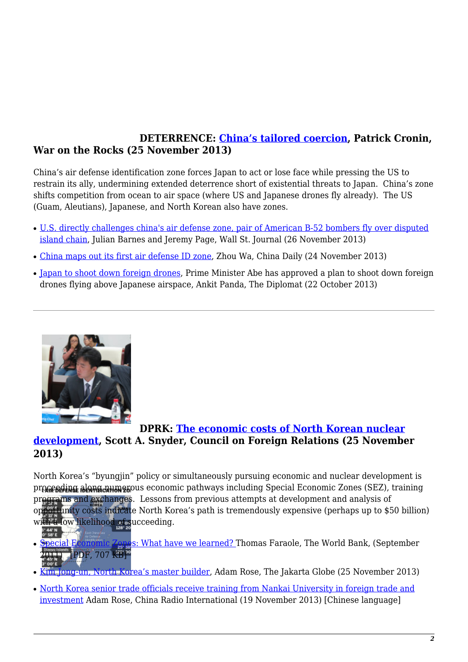## **DETERRENCE: [China's tailored coercion](http://warontherocks.com/2013/11/chinas-tailored-coercion/), Patrick Cronin, War on the Rocks (25 November 2013)**

China's air defense identification zone forces Japan to act or lose face while pressing the US to restrain its ally, undermining extended deterrence short of existential threats to Japan. China's zone shifts competition from ocean to air space (where US and Japanese drones fly already). The US (Guam, Aleutians), Japanese, and North Korean also have zones.

- [U.S. directly challenges china's air defense zone, pair of American B-52 bombers fly over disputed](http://online.wsj.com/news/articles/SB10001424052702303281504579221993719005178?mod=e2tw) [island chain](http://online.wsj.com/news/articles/SB10001424052702303281504579221993719005178?mod=e2tw), Julian Barnes and Jeremy Page, Wall St. Journal (26 November 2013)
- [China maps out its first air defense ID zone](http://www.chinadaily.com.cn/china/2013-11/24/content_17127120.htm), Zhou Wa, China Daily (24 November 2013)
- [Japan to shoot down foreign drones,](http://thediplomat.com/2013/10/japan-to-shoot-down-foreign-drones/) Prime Minister Abe has approved a plan to shoot down foreign drones flying above Japanese airspace, Ankit Panda, The Diplomat (22 October 2013)

<span id="page-1-0"></span>

## **DPRK: [The economic costs of North Korean nuclear](http://blogs.cfr.org/asia/2013/11/25/the-economic-costs-of-north-korean-nuclear-development/) [development,](http://blogs.cfr.org/asia/2013/11/25/the-economic-costs-of-north-korean-nuclear-development/) Scott A. Snyder, Council on Foreign Relations (25 November 2013)**

North Korea's "byungjin" policy or simultaneously pursuing economic and nuclear development is proceeding along numerous economic pathways including Special Economic Zones (SEZ), training pr[ograms and exchanges](https://nautilus.org/napsnet/napsnet-weekly/nautilus-peace-and-security-weekly-28-november-2013/attachment/deterrence-image-3-2/). Lessons from previous attempts at development and analysis of

- opportunity costs indicate North Korea's path is tremendously expensive (perhaps up to \$50 billion) with a low likelihood of succeeding.
- [Special Economic Zones: What have we learned?](http://siteresources.worldbank.org/INTPREMNET/Resources/EP64.pdf) Thomas Faraole, The World Bank, (September 2011) [PDF, 707 KB]
- [Kim Jong-un, North Korea's master builder,](http://www.thejakartaglobe.com/international/kim-jong-un-north-koreas-master-builder/) Adam Rose, The Jakarta Globe (25 November 2013)
- [North Korea senior trade officials receive training from Nankai University in foreign trade and](http://roll.sohu.com/20131119/n390383022.shtml) [investment](http://roll.sohu.com/20131119/n390383022.shtml) Adam Rose, China Radio International (19 November 2013) [Chinese language]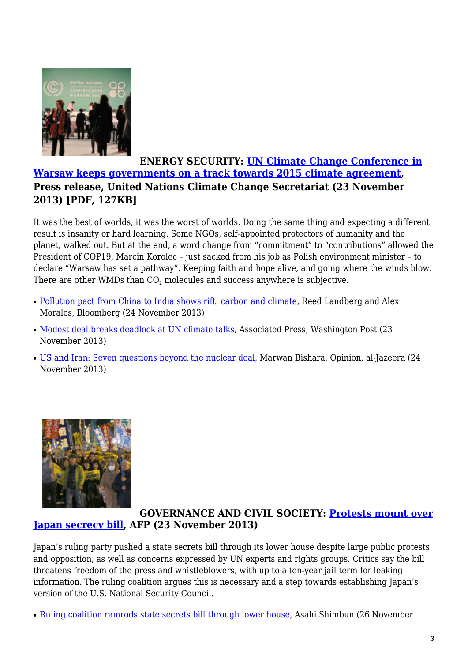

## **ENERGY SECURITY: [UN Climate Change Conference in](http://unfccc.int/files/press/news_room/press_releases_and_advisories/application/pdf/131123_pr_closing_cop19.pdf) [Warsaw keeps governments on a track towards 2015 climate agreement](http://unfccc.int/files/press/news_room/press_releases_and_advisories/application/pdf/131123_pr_closing_cop19.pdf), Press release, United Nations Climate Change Secretariat (23 November 2013) [PDF, 127KB]**

It was the best of worlds, it was the worst of worlds. Doing the same thing and expecting a different result is insanity or hard learning. Some NGOs, self-appointed protectors of humanity and the planet, walked out. But at the end, a word change from "commitment" to "contributions" allowed the President of COP19, Marcin Korolec – just sacked from his job as Polish environment minister – to declare "Warsaw has set a pathway". Keeping faith and hope alive, and going where the winds blow. There are other WMDs than  $\mathrm{CO}_2$  molecules and success anywhere is subjective.

- [Pollution pact from China to India shows rift: carbon and climate,](http://www.bloomberg.com/news/2013-11-25/pollution-pact-from-china-to-india-shows-rift-carbon-climate.html) Reed Landberg and Alex Morales, Bloomberg (24 November 2013)
- [Modest deal breaks deadlock at UN climate talks](http://www.washingtonpost.com/world/europe/climate-talks-stalled-over-finance-carbon-cuts/2013/11/23/a7344638-5412-11e3-9ee6-2580086d8254_story.html), Associated Press, Washington Post (23 November 2013)
- [US and Iran: Seven questions beyond the nuclear deal](http://www.aljazeera.com/indepth/opinion/2013/11/us-iran-seven-questions-beyond-nuclear-deal-20131124791721502.html), Marwan Bishara, Opinion, al-Jazeera (24 November 2013)

<span id="page-2-0"></span>

## **GOVERNANCE AND CIVIL SOCIETY: [Protests mount over](http://www.google.com/hostednews/afp/article/ALeqM5gnUy1xry3T_RkAzZzJkVfLFeqkYg?docId=e26da39e-c747-415f-adef-67af250cf64a) [Japan secrecy bill](http://www.google.com/hostednews/afp/article/ALeqM5gnUy1xry3T_RkAzZzJkVfLFeqkYg?docId=e26da39e-c747-415f-adef-67af250cf64a), AFP (23 November 2013)**

Japan's ruling party pushed a state secrets bill through its lower house despite large public protests and opposition, as well as concerns expressed by UN experts and rights groups. Critics say the bill threatens freedom of the press and whistleblowers, with up to a ten-year jail term for leaking information. The ruling coalition argues this is necessary and a step towards establishing Japan's version of the U.S. National Security Council.

• [Ruling coalition ramrods state secrets bill through lower house,](http://ajw.asahi.com/article/behind_news/AJ201311260066) Asahi Shimbun (26 November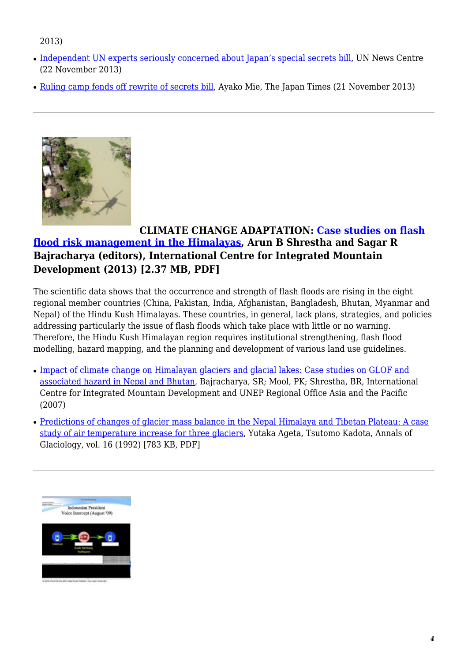#### 2013)

- [Independent UN experts seriously concerned about Japan's special secrets bill,](http://www.un.org/apps/news/story.asp/html/story.asp?NewsID=46560&Cr=japan&Cr1=#.UpSex5RNupx) UN News Centre (22 November 2013)
- [Ruling camp fends off rewrite of secrets bill,](http://www.japantimes.co.jp/news/2013/11/21/national/ruling-camp-nippon-ishin-reach-deal-on-secrecy-bill-amendments/#.UpSle5RNupw) Ayako Mie, The Japan Times (21 November 2013)

<span id="page-3-0"></span>

## **CLIMATE CHANGE ADAPTATION: [Case studies on flash](http://lib.icimod.org/record/27767/files/Case-study-on  FFRM.pdf) [flood risk management in the Himalayas,](http://lib.icimod.org/record/27767/files/Case-study-on  FFRM.pdf) Arun B Shrestha and Sagar R Bajracharya (editors), International Centre for Integrated Mountain Development (2013) [2.37 MB, PDF]**

The scientific data shows that the occurrence and strength of flash floods are rising in the eight regional member countries (China, Pakistan, India, Afghanistan, Bangladesh, Bhutan, Myanmar and Nepal) of the Hindu Kush Himalayas. These countries, in general, lack plans, strategies, and policies addressing particularly the issue of flash floods which take place with little or no warning. Therefore, the Hindu Kush Himalayan region requires institutional strengthening, flash flood modelling, hazard mapping, and the planning and development of various land use guidelines.

- [Impact of climate change on Himalayan glaciers and glacial lakes: Case studies on GLOF and](http://lib.icimod.org/record/22442) [associated hazard in Nepal and Bhutan](http://lib.icimod.org/record/22442), Bajracharya, SR; Mool, PK; Shrestha, BR, International Centre for Integrated Mountain Development and UNEP Regional Office Asia and the Pacific (2007)
- [Predictions of changes of glacier mass balance in the Nepal Himalaya and Tibetan Plateau: A case](http://www.igsoc.org/annals.old/16/igs_annals_vol16_year1992_pg89-94.pdf) [study of air temperature increase for three glaciers,](http://www.igsoc.org/annals.old/16/igs_annals_vol16_year1992_pg89-94.pdf) Yutaka Ageta, Tsutomo Kadota, Annals of Glaciology, vol. 16 (1992) [783 KB, PDF]

<span id="page-3-1"></span>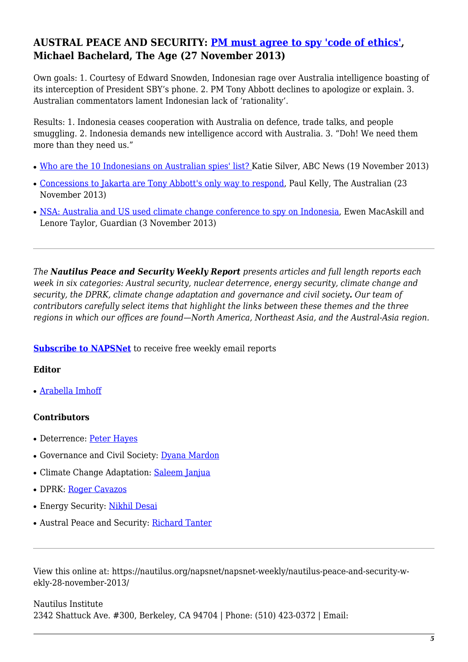## **AUSTRAL PEACE AND SECURITY: [PM must agree to spy 'code of ethics',](http://www.theage.com.au/federal-politics/political-news/pm-must-agree-to-spy-code-of-ethics-20131126-2y8i2.html) Michael Bachelard, The Age (27 November 2013)**

Own goals: 1. Courtesy of Edward Snowden, Indonesian rage over Australia intelligence boasting of its interception of President SBY's phone. 2. PM Tony Abbott declines to apologize or explain. 3. Australian commentators lament Indonesian lack of 'rationality'.

Results: 1. Indonesia ceases cooperation with Australia on defence, trade talks, and people smuggling. 2. Indonesia demands new intelligence accord with Australia. 3. "Doh! We need them more than they need us."

- [Who are the 10 Indonesians on Australian spies' list?](http://www.abc.net.au/news/2013-11-18/who-is-on-australian-spies-list-of-indonesian-phones/5099952) Katie Silver, ABC News (19 November 2013)
- [Concessions to Jakarta are Tony Abbott's only way to respond,](http://www.theaustralian.com.au/opinion/columnists/concessions-to-jakarta-are-tony-abbotts-only-way-to-respond/story-e6frg74x-1226766427765#) Paul Kelly, The Australian (23) November 2013)
- [NSA: Australia and US used climate change conference to spy on Indonesia](http://www.theguardian.com/world/2013/nov/02/nsa-australia-bali-conference-spy-indonesia?CMP=twt_gu), Ewen MacAskill and Lenore Taylor, Guardian (3 November 2013)

*The Nautilus Peace and Security Weekly Report presents articles and full length reports each week in six categories: Austral security, nuclear deterrence, energy security, climate change and security, the DPRK, climate change adaptation and governance and civil society. Our team of contributors carefully select items that highlight the links between these themes and the three regions in which our offices are found—North America, Northeast Asia, and the Austral-Asia region.* 

**[Subscribe to NAPSNet](http://www.nautilus.org/mailing-lists/sign-up-for-mailing-lists/)** to receive free weekly email reports

#### **Editor**

• [Arabella Imhoff](https://nautilus.org/about/staff/arabella-imhoff/)

### **Contributors**

- Deterrence: [Peter Hayes](http://www.nautilus.org/about/staff/peter-hayes)
- Governance and Civil Society: [Dyana Mardon](http://www.nautilus.org/offices/nautilus-ari/dyana-mardon)
- Climate Change Adaptation: [Saleem Janjua](http://www.nautilus.org/about/associates/saleem-janjua)
- DPRK: [Roger Cavazos](https://nautilus.org/about/associates/roger-cavazos/)
- Energy Security: [Nikhil Desai](https://nautilus.org/network/associates/nikhil-desai/)
- Austral Peace and Security: [Richard Tanter](https://nautilus.org/about/associates/richard-tanter/)

View this online at: https://nautilus.org/napsnet/napsnet-weekly/nautilus-peace-and-security-wekly-28-november-2013/

Nautilus Institute 2342 Shattuck Ave. #300, Berkeley, CA 94704 | Phone: (510) 423-0372 | Email: